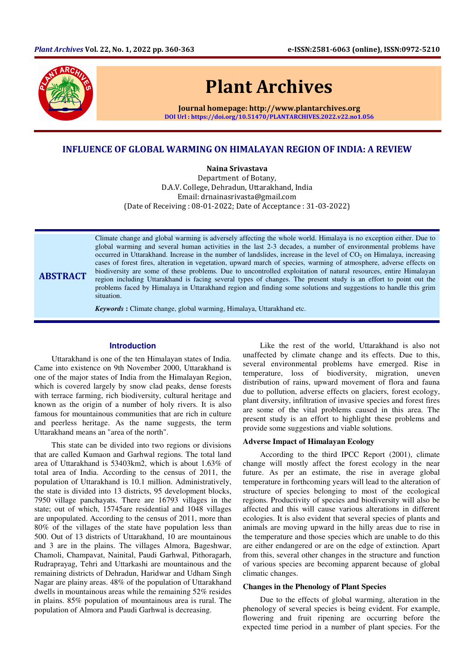

ABSTRACT

# Plant Archives

Journal homepage: http://www.plantarchives.org DOI Url : https://doi.org/10.51470/PLANTARCHIVES.2022.v22.no1.056

## INFLUENCE OF GLOBAL WARMING ON HIMALAYAN REGION OF INDIA: A REVIEW

Naina Srivastava Department of Botany, D.A.V. College, Dehradun, Uttarakhand, India Email: drnainasrivasta@gmail.com (Date of Receiving : 08-01-2022; Date of Acceptance : 31-03-2022)

Climate change and global warming is adversely affecting the whole world. Himalaya is no exception either. Due to global warming and several human activities in the last 2-3 decades, a number of environmental problems have occurred in Uttarakhand. Increase in the number of landslides, increase in the level of  $CO<sub>2</sub>$  on Himalaya, increasing cases of forest fires, alteration in vegetation, upward march of species, warming of atmosphere, adverse effects on biodiversity are some of these problems. Due to uncontrolled exploitation of natural resources, entire Himalayan region including Uttarakhand is facing several types of changes. The present study is an effort to point out the problems faced by Himalaya in Uttarakhand region and finding some solutions and suggestions to handle this grim situation.

*Keywords* **:** Climate change, global warming, Himalaya, Uttarakhand etc.

#### **Introduction**

Uttarakhand is one of the ten Himalayan states of India. Came into existence on 9th November 2000, Uttarakhand is one of the major states of India from the Himalayan Region, which is covered largely by snow clad peaks, dense forests with terrace farming, rich biodiversity, cultural heritage and known as the origin of a number of holy rivers. It is also famous for mountainous communities that are rich in culture and peerless heritage. As the name suggests, the term Uttarakhand means an "area of the north".

This state can be divided into two regions or divisions that are called Kumaon and Garhwal regions. The total land area of Uttarakhand is 53403km2, which is about 1.63% of total area of India. According to the census of 2011, the population of Uttarakhand is 10.1 million. Administratively, the state is divided into 13 districts, 95 development blocks, 7950 village panchayats. There are 16793 villages in the state; out of which, 15745are residential and 1048 villages are unpopulated. According to the census of 2011, more than 80% of the villages of the state have population less than 500. Out of 13 districts of Uttarakhand, 10 are mountainous and 3 are in the plains. The villages Almora, Bageshwar, Chamoli, Champavat, Nainital, Paudi Garhwal, Pithoragarh, Rudraprayag, Tehri and Uttarkashi are mountainous and the remaining districts of Dehradun, Haridwar and Udham Singh Nagar are plainy areas. 48% of the population of Uttarakhand dwells in mountainous areas while the remaining 52% resides in plains. 85% population of mountainous area is rural. The population of Almora and Paudi Garhwal is decreasing.

Like the rest of the world, Uttarakhand is also not unaffected by climate change and its effects. Due to this, several environmental problems have emerged. Rise in temperature, loss of biodiversity, migration, uneven distribution of rains, upward movement of flora and fauna due to pollution, adverse effects on glaciers, forest ecology, plant diversity, infiltration of invasive species and forest fires are some of the vital problems caused in this area. The present study is an effort to highlight these problems and provide some suggestions and viable solutions.

#### **Adverse Impact of Himalayan Ecology**

According to the third IPCC Report (2001), climate change will mostly affect the forest ecology in the near future. As per an estimate, the rise in average global temperature in forthcoming years will lead to the alteration of structure of species belonging to most of the ecological regions. Productivity of species and biodiversity will also be affected and this will cause various alterations in different ecologies. It is also evident that several species of plants and animals are moving upward in the hilly areas due to rise in the temperature and those species which are unable to do this are either endangered or are on the edge of extinction. Apart from this, several other changes in the structure and function of various species are becoming apparent because of global climatic changes.

## **Changes in the Phenology of Plant Species**

Due to the effects of global warming, alteration in the phenology of several species is being evident. For example, flowering and fruit ripening are occurring before the expected time period in a number of plant species. For the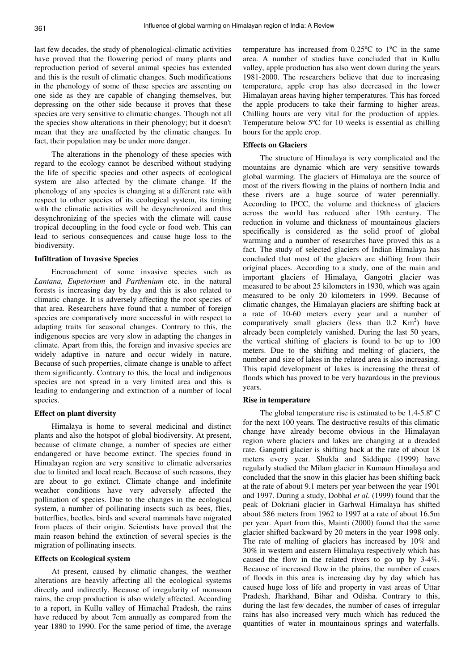last few decades, the study of phenological-climatic activities have proved that the flowering period of many plants and reproduction period of several animal species has extended and this is the result of climatic changes. Such modifications in the phenology of some of these species are assenting on one side as they are capable of changing themselves, but depressing on the other side because it proves that these species are very sensitive to climatic changes. Though not all the species show alterations in their phenology; but it doesn't mean that they are unaffected by the climatic changes. In fact, their population may be under more danger.

The alterations in the phenology of these species with regard to the ecology cannot be described without studying the life of specific species and other aspects of ecological system are also affected by the climate change. If the phenology of any species is changing at a different rate with respect to other species of its ecological system, its timing with the climatic activities will be desynchronized and this desynchronizing of the species with the climate will cause tropical decoupling in the food cycle or food web. This can lead to serious consequences and cause huge loss to the biodiversity.

## **Infiltration of Invasive Species**

Encroachment of some invasive species such as *Lantana, Eupetorium* and *Parthenium* etc. in the natural forests is increasing day by day and this is also related to climatic change. It is adversely affecting the root species of that area. Researchers have found that a number of foreign species are comparatively more successful in with respect to adapting traits for seasonal changes. Contrary to this, the indigenous species are very slow in adapting the changes in climate. Apart from this, the foreign and invasive species are widely adaptive in nature and occur widely in nature. Because of such properties, climate change is unable to affect them significantly. Contrary to this, the local and indigenous species are not spread in a very limited area and this is leading to endangering and extinction of a number of local species.

## **Effect on plant diversity**

Himalaya is home to several medicinal and distinct plants and also the hotspot of global biodiversity. At present, because of climate change, a number of species are either endangered or have become extinct. The species found in Himalayan region are very sensitive to climatic adversaries due to limited and local reach. Because of such reasons, they are about to go extinct. Climate change and indefinite weather conditions have very adversely affected the pollination of species. Due to the changes in the ecological system, a number of pollinating insects such as bees, flies, butterflies, beetles, birds and several mammals have migrated from places of their origin. Scientists have proved that the main reason behind the extinction of several species is the migration of pollinating insects.

#### **Effects on Ecological system**

At present, caused by climatic changes, the weather alterations are heavily affecting all the ecological systems directly and indirectly. Because of irregularity of monsoon rains, the crop production is also widely affected. According to a report, in Kullu valley of Himachal Pradesh, the rains have reduced by about 7cm annually as compared from the year 1880 to 1990. For the same period of time, the average

temperature has increased from 0.25ºC to 1ºC in the same area. A number of studies have concluded that in Kullu valley, apple production has also went down during the years 1981-2000. The researchers believe that due to increasing temperature, apple crop has also decreased in the lower Himalayan areas having higher temperatures. This has forced the apple producers to take their farming to higher areas. Chilling hours are very vital for the production of apples. Temperature below 5ºC for 10 weeks is essential as chilling hours for the apple crop.

#### **Effects on Glaciers**

The structure of Himalaya is very complicated and the mountains are dynamic which are very sensitive towards global warming. The glaciers of Himalaya are the source of most of the rivers flowing in the plains of northern India and these rivers are a huge source of water perennially. According to IPCC, the volume and thickness of glaciers across the world has reduced after 19th century. The reduction in volume and thickness of mountainous glaciers specifically is considered as the solid proof of global warming and a number of researches have proved this as a fact. The study of selected glaciers of Indian Himalaya has concluded that most of the glaciers are shifting from their original places. According to a study, one of the main and important glaciers of Himalaya, Gangotri glacier was measured to be about 25 kilometers in 1930, which was again measured to be only 20 kilometers in 1999. Because of climatic changes, the Himalayan glaciers are shifting back at a rate of 10-60 meters every year and a number of comparatively small glaciers (less than  $0.2 \text{ Km}^2$ ) have already been completely vanished. During the last 50 years, the vertical shifting of glaciers is found to be up to 100 meters. Due to the shifting and melting of glaciers, the number and size of lakes in the related area is also increasing. This rapid development of lakes is increasing the threat of floods which has proved to be very hazardous in the previous years.

#### **Rise in temperature**

The global temperature rise is estimated to be 1.4-5.8º C for the next 100 years. The destructive results of this climatic change have already become obvious in the Himalayan region where glaciers and lakes are changing at a dreaded rate. Gangotri glacier is shifting back at the rate of about 18 meters every year. Shukla and Siddique (1999) have regularly studied the Milam glacier in Kumaun Himalaya and concluded that the snow in this glacier has been shifting back at the rate of about 9.1 meters per year between the year 1901 and 1997. During a study, Dobhal *et al*. (1999) found that the peak of Dokriani glacier in Garhwal Himalaya has shifted about 586 meters from 1962 to 1997 at a rate of about 16.5m per year. Apart from this, Mainti (2000) found that the same glacier shifted backward by 20 meters in the year 1998 only. The rate of melting of glaciers has increased by 10% and 30% in western and eastern Himalaya respectively which has caused the flow in the related rivers to go up by 3-4%. Because of increased flow in the plains, the number of cases of floods in this area is increasing day by day which has caused huge loss of life and property in vast areas of Uttar Pradesh, Jharkhand, Bihar and Odisha. Contrary to this, during the last few decades, the number of cases of irregular rains has also increased very much which has reduced the quantities of water in mountainous springs and waterfalls.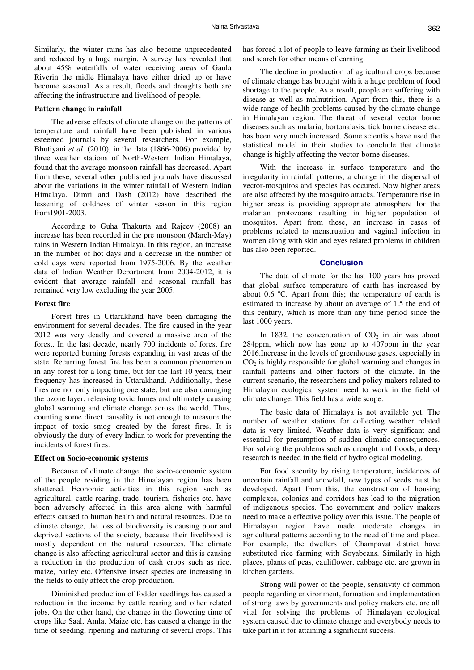Similarly, the winter rains has also become unprecedented and reduced by a huge margin. A survey has revealed that about 45% waterfalls of water receiving areas of Gaula Riverin the midle Himalaya have either dried up or have become seasonal. As a result, floods and droughts both are affecting the infrastructure and livelihood of people.

#### **Pattern change in rainfall**

The adverse effects of climate change on the patterns of temperature and rainfall have been published in various esteemed journals by several researchers. For example, Bhutiyani *et al*. (2010), in the data (1866-2006) provided by three weather stations of North-Western Indian Himalaya, found that the average monsoon rainfall has decreased. Apart from these, several other published journals have discussed about the variations in the winter rainfall of Western Indian Himalaya. Dimri and Dash (2012) have described the lessening of coldness of winter season in this region from1901-2003.

According to Guha Thakurta and Rajeev (2008) an increase has been recorded in the pre monsoon (March-May) rains in Western Indian Himalaya. In this region, an increase in the number of hot days and a decrease in the number of cold days were reported from 1975-2006. By the weather data of Indian Weather Department from 2004-2012, it is evident that average rainfall and seasonal rainfall has remained very low excluding the year 2005.

#### **Forest fire**

Forest fires in Uttarakhand have been damaging the environment for several decades. The fire caused in the year 2012 was very deadly and covered a massive area of the forest. In the last decade, nearly 700 incidents of forest fire were reported burning forests expanding in vast areas of the state. Recurring forest fire has been a common phenomenon in any forest for a long time, but for the last 10 years, their frequency has increased in Uttarakhand. Additionally, these fires are not only impacting one state, but are also damaging the ozone layer, releasing toxic fumes and ultimately causing global warming and climate change across the world. Thus, counting some direct causality is not enough to measure the impact of toxic smog created by the forest fires. It is obviously the duty of every Indian to work for preventing the incidents of forest fires.

## **Effect on Socio-economic systems**

Because of climate change, the socio-economic system of the people residing in the Himalayan region has been shattered. Economic activities in this region such as agricultural, cattle rearing, trade, tourism, fisheries etc. have been adversely affected in this area along with harmful effects caused to human health and natural resources. Due to climate change, the loss of biodiversity is causing poor and deprived sections of the society, because their livelihood is mostly dependent on the natural resources. The climate change is also affecting agricultural sector and this is causing a reduction in the production of cash crops such as rice, maize, barley etc. Offensive insect species are increasing in the fields to only affect the crop production.

Diminished production of fodder seedlings has caused a reduction in the income by cattle rearing and other related jobs. On the other hand, the change in the flowering time of crops like Saal, Amla, Maize etc. has caused a change in the time of seeding, ripening and maturing of several crops. This

has forced a lot of people to leave farming as their livelihood and search for other means of earning.

The decline in production of agricultural crops because of climate change has brought with it a huge problem of food shortage to the people. As a result, people are suffering with disease as well as malnutrition. Apart from this, there is a wide range of health problems caused by the climate change in Himalayan region. The threat of several vector borne diseases such as malaria, bortonalasis, tick borne disease etc. has been very much increased. Some scientists have used the statistical model in their studies to conclude that climate change is highly affecting the vector-borne diseases.

With the increase in surface temperature and the irregularity in rainfall patterns, a change in the dispersal of vector-mosquitos and species has occured. Now higher areas are also affected by the mosquito attacks. Temperature rise in higher areas is providing appropriate atmosphere for the malarian protozoans resulting in higher population of mosquitos. Apart from these, an increase in cases of problems related to menstruation and vaginal infection in women along with skin and eyes related problems in children has also been reported.

#### **Conclusion**

The data of climate for the last 100 years has proved that global surface temperature of earth has increased by about 0.6 ºC. Apart from this; the temperature of earth is estimated to increase by about an average of 1.5 the end of this century, which is more than any time period since the last 1000 years.

In 1832, the concentration of  $CO<sub>2</sub>$  in air was about 284ppm, which now has gone up to 407ppm in the year 2016.Increase in the levels of greenhouse gases, especially in  $CO<sub>2</sub>$  is highly responsible for global warming and changes in rainfall patterns and other factors of the climate. In the current scenario, the researchers and policy makers related to Himalayan ecological system need to work in the field of climate change. This field has a wide scope.

The basic data of Himalaya is not available yet. The number of weather stations for collecting weather related data is very limited. Weather data is very significant and essential for presumption of sudden climatic consequences. For solving the problems such as drought and floods, a deep research is needed in the field of hydrological modeling.

For food security by rising temperature, incidences of uncertain rainfall and snowfall, new types of seeds must be developed. Apart from this, the construction of housing complexes, colonies and corridors has lead to the migration of indigenous species. The government and policy makers need to make a effective policy over this issue. The people of Himalayan region have made moderate changes in agricultural patterns according to the need of time and place. For example, the dwellers of Champavat district have substituted rice farming with Soyabeans. Similarly in high places, plants of peas, cauliflower, cabbage etc. are grown in kitchen gardens.

Strong will power of the people, sensitivity of common people regarding environment, formation and implementation of strong laws by governments and policy makers etc. are all vital for solving the problems of Himalayan ecological system caused due to climate change and everybody needs to take part in it for attaining a significant success.